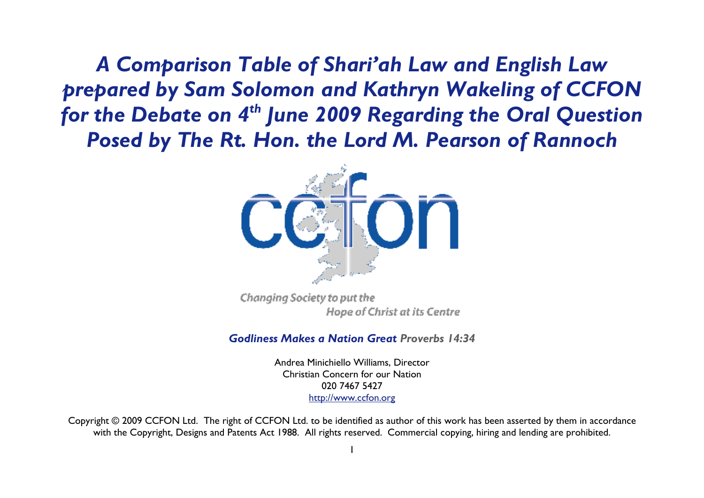*A Comparison Table of Shari'ah Law and English Law prepared by Sam Solomon and Kathryn Wakeling of CCFON for the Debate on 4th June 2009 Regarding the Oral Question Posed by The Rt. Hon. the Lord M. Pearson of Rannoch* 



Changing Society to put the Hope of Christ at its Centre

*Godliness Makes a Nation Great Proverbs 14:34*

Andrea Minichiello Williams, Director Christian Concern for our Nation 020 7467 5427 http://www.ccfon.org

Copyright © 2009 CCFON Ltd. The right of CCFON Ltd. to be identified as author of this work has been asserted by them in accordance with the Copyright, Designs and Patents Act 1988. All rights reserved. Commercial copying, hiring and lending are prohibited.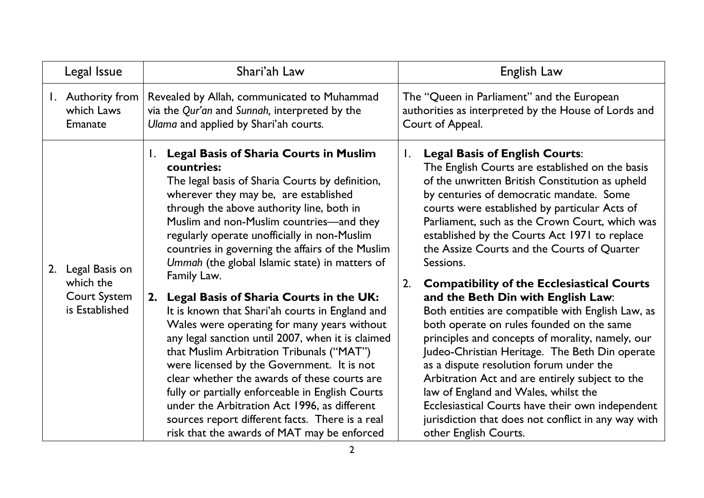|    | Legal Issue                                                          |                      | Shari'ah Law                                                                                                                                                                                                                                                                                                                                                                                                                                                                                                                                                                                                                                                                                                                                                                                                                                                                                                                                                             |                      | English Law                                                                                                                                                                                                                                                                                                                                                                                                                                                                                                                                                                                                                                                                                                                                                                                                                                                                                                                                                                          |
|----|----------------------------------------------------------------------|----------------------|--------------------------------------------------------------------------------------------------------------------------------------------------------------------------------------------------------------------------------------------------------------------------------------------------------------------------------------------------------------------------------------------------------------------------------------------------------------------------------------------------------------------------------------------------------------------------------------------------------------------------------------------------------------------------------------------------------------------------------------------------------------------------------------------------------------------------------------------------------------------------------------------------------------------------------------------------------------------------|----------------------|--------------------------------------------------------------------------------------------------------------------------------------------------------------------------------------------------------------------------------------------------------------------------------------------------------------------------------------------------------------------------------------------------------------------------------------------------------------------------------------------------------------------------------------------------------------------------------------------------------------------------------------------------------------------------------------------------------------------------------------------------------------------------------------------------------------------------------------------------------------------------------------------------------------------------------------------------------------------------------------|
| Ι. | Authority from<br>which Laws<br>Emanate                              |                      | Revealed by Allah, communicated to Muhammad<br>via the Qur'an and Sunnah, interpreted by the<br>Ulama and applied by Shari'ah courts.                                                                                                                                                                                                                                                                                                                                                                                                                                                                                                                                                                                                                                                                                                                                                                                                                                    |                      | The "Queen in Parliament" and the European<br>authorities as interpreted by the House of Lords and<br>Court of Appeal.                                                                                                                                                                                                                                                                                                                                                                                                                                                                                                                                                                                                                                                                                                                                                                                                                                                               |
| 2. | Legal Basis on<br>which the<br><b>Court System</b><br>is Established | $\mathbf{I}$ .<br>2. | <b>Legal Basis of Sharia Courts in Muslim</b><br>countries:<br>The legal basis of Sharia Courts by definition,<br>wherever they may be, are established<br>through the above authority line, both in<br>Muslim and non-Muslim countries-and they<br>regularly operate unofficially in non-Muslim<br>countries in governing the affairs of the Muslim<br>Ummah (the global Islamic state) in matters of<br>Family Law.<br>Legal Basis of Sharia Courts in the UK:<br>It is known that Shari'ah courts in England and<br>Wales were operating for many years without<br>any legal sanction until 2007, when it is claimed<br>that Muslim Arbitration Tribunals ("MAT")<br>were licensed by the Government. It is not<br>clear whether the awards of these courts are<br>fully or partially enforceable in English Courts<br>under the Arbitration Act 1996, as different<br>sources report different facts. There is a real<br>risk that the awards of MAT may be enforced | $\mathbf{I}$ .<br>2. | <b>Legal Basis of English Courts:</b><br>The English Courts are established on the basis<br>of the unwritten British Constitution as upheld<br>by centuries of democratic mandate. Some<br>courts were established by particular Acts of<br>Parliament, such as the Crown Court, which was<br>established by the Courts Act 1971 to replace<br>the Assize Courts and the Courts of Quarter<br>Sessions.<br><b>Compatibility of the Ecclesiastical Courts</b><br>and the Beth Din with English Law:<br>Both entities are compatible with English Law, as<br>both operate on rules founded on the same<br>principles and concepts of morality, namely, our<br>Judeo-Christian Heritage. The Beth Din operate<br>as a dispute resolution forum under the<br>Arbitration Act and are entirely subject to the<br>law of England and Wales, whilst the<br>Ecclesiastical Courts have their own independent<br>jurisdiction that does not conflict in any way with<br>other English Courts. |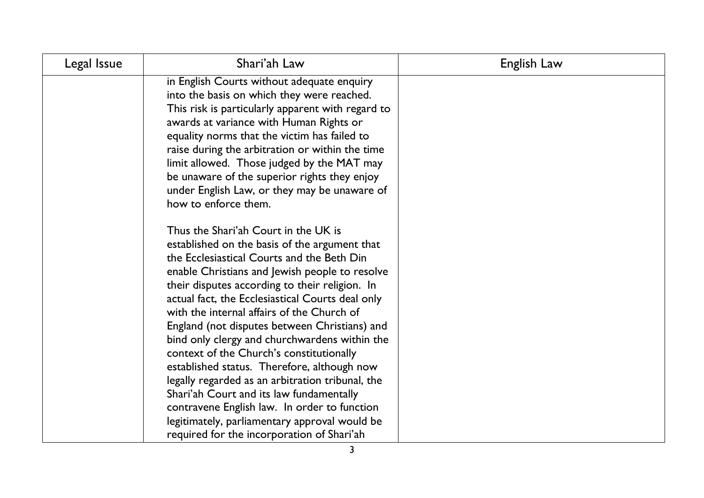| Legal Issue | Shari'ah Law                                                                                                                                                                                                                                                                                                                                                                                                                                                                                                                                                                                                                                                                                                                                                                          | English Law |
|-------------|---------------------------------------------------------------------------------------------------------------------------------------------------------------------------------------------------------------------------------------------------------------------------------------------------------------------------------------------------------------------------------------------------------------------------------------------------------------------------------------------------------------------------------------------------------------------------------------------------------------------------------------------------------------------------------------------------------------------------------------------------------------------------------------|-------------|
|             | in English Courts without adequate enquiry<br>into the basis on which they were reached.<br>This risk is particularly apparent with regard to<br>awards at variance with Human Rights or<br>equality norms that the victim has failed to<br>raise during the arbitration or within the time<br>limit allowed. Those judged by the MAT may<br>be unaware of the superior rights they enjoy<br>under English Law, or they may be unaware of<br>how to enforce them.                                                                                                                                                                                                                                                                                                                     |             |
|             | Thus the Shari'ah Court in the UK is<br>established on the basis of the argument that<br>the Ecclesiastical Courts and the Beth Din<br>enable Christians and Jewish people to resolve<br>their disputes according to their religion. In<br>actual fact, the Ecclesiastical Courts deal only<br>with the internal affairs of the Church of<br>England (not disputes between Christians) and<br>bind only clergy and churchwardens within the<br>context of the Church's constitutionally<br>established status. Therefore, although now<br>legally regarded as an arbitration tribunal, the<br>Shari'ah Court and its law fundamentally<br>contravene English law. In order to function<br>legitimately, parliamentary approval would be<br>required for the incorporation of Shari'ah |             |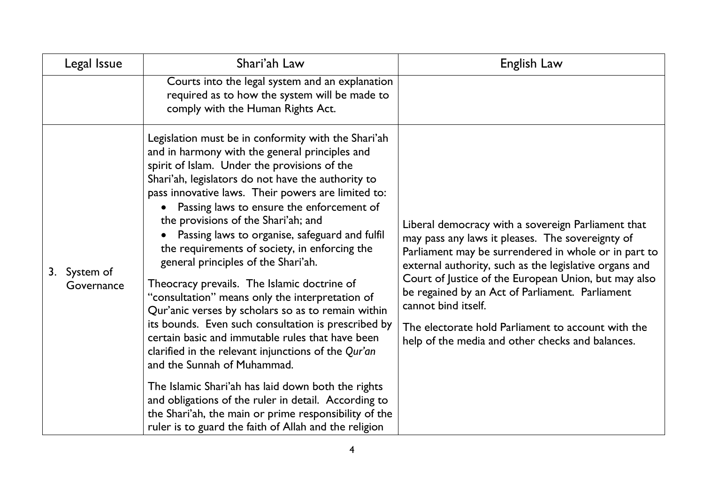| Legal Issue                | Shari'ah Law                                                                                                                                                                                                                                                                                                                                                                                                                                                                                                                                                                                                                                                                                                                                                                                                                                                                                                                                                                                                                                                                             | English Law                                                                                                                                                                                                                                                                                                                                                                                                                                                          |
|----------------------------|------------------------------------------------------------------------------------------------------------------------------------------------------------------------------------------------------------------------------------------------------------------------------------------------------------------------------------------------------------------------------------------------------------------------------------------------------------------------------------------------------------------------------------------------------------------------------------------------------------------------------------------------------------------------------------------------------------------------------------------------------------------------------------------------------------------------------------------------------------------------------------------------------------------------------------------------------------------------------------------------------------------------------------------------------------------------------------------|----------------------------------------------------------------------------------------------------------------------------------------------------------------------------------------------------------------------------------------------------------------------------------------------------------------------------------------------------------------------------------------------------------------------------------------------------------------------|
|                            | Courts into the legal system and an explanation<br>required as to how the system will be made to<br>comply with the Human Rights Act.                                                                                                                                                                                                                                                                                                                                                                                                                                                                                                                                                                                                                                                                                                                                                                                                                                                                                                                                                    |                                                                                                                                                                                                                                                                                                                                                                                                                                                                      |
| 3. System of<br>Governance | Legislation must be in conformity with the Shari'ah<br>and in harmony with the general principles and<br>spirit of Islam. Under the provisions of the<br>Shari'ah, legislators do not have the authority to<br>pass innovative laws. Their powers are limited to:<br>Passing laws to ensure the enforcement of<br>the provisions of the Shari'ah; and<br>Passing laws to organise, safeguard and fulfil<br>the requirements of society, in enforcing the<br>general principles of the Shari'ah.<br>Theocracy prevails. The Islamic doctrine of<br>"consultation" means only the interpretation of<br>Qur'anic verses by scholars so as to remain within<br>its bounds. Even such consultation is prescribed by<br>certain basic and immutable rules that have been<br>clarified in the relevant injunctions of the Qur'an<br>and the Sunnah of Muhammad.<br>The Islamic Shari'ah has laid down both the rights<br>and obligations of the ruler in detail. According to<br>the Shari'ah, the main or prime responsibility of the<br>ruler is to guard the faith of Allah and the religion | Liberal democracy with a sovereign Parliament that<br>may pass any laws it pleases. The sovereignty of<br>Parliament may be surrendered in whole or in part to<br>external authority, such as the legislative organs and<br>Court of Justice of the European Union, but may also<br>be regained by an Act of Parliament. Parliament<br>cannot bind itself.<br>The electorate hold Parliament to account with the<br>help of the media and other checks and balances. |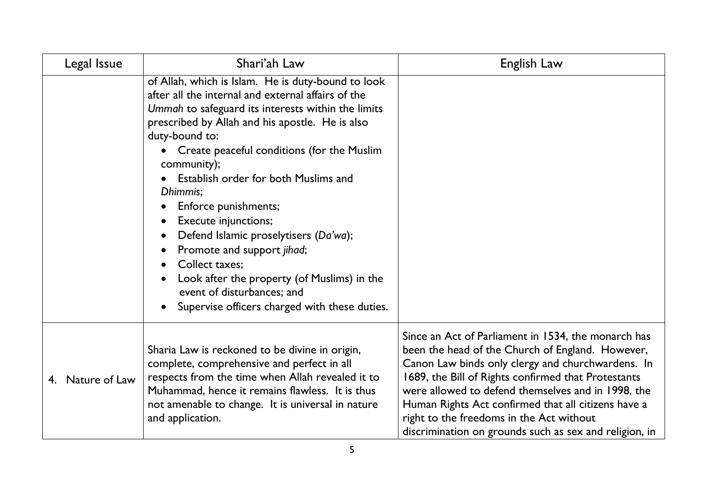| Legal Issue         | Shari'ah Law                                                                                                                                                                                                                                                                                                                                                                                                                                                                                                                                                                                                                                                              | English Law                                                                                                                                                                                                                                                                                                                                                                                                                            |
|---------------------|---------------------------------------------------------------------------------------------------------------------------------------------------------------------------------------------------------------------------------------------------------------------------------------------------------------------------------------------------------------------------------------------------------------------------------------------------------------------------------------------------------------------------------------------------------------------------------------------------------------------------------------------------------------------------|----------------------------------------------------------------------------------------------------------------------------------------------------------------------------------------------------------------------------------------------------------------------------------------------------------------------------------------------------------------------------------------------------------------------------------------|
|                     | of Allah, which is Islam. He is duty-bound to look<br>after all the internal and external affairs of the<br>Ummah to safeguard its interests within the limits<br>prescribed by Allah and his apostle. He is also<br>duty-bound to:<br>Create peaceful conditions (for the Muslim<br>community);<br>Establish order for both Muslims and<br>Dhimmis;<br>Enforce punishments;<br>Execute injunctions;<br>Defend Islamic proselytisers (Da'wa);<br>$\bullet$<br>Promote and support jihad;<br>$\bullet$<br><b>Collect taxes:</b><br>$\bullet$<br>Look after the property (of Muslims) in the<br>event of disturbances; and<br>Supervise officers charged with these duties. |                                                                                                                                                                                                                                                                                                                                                                                                                                        |
| Nature of Law<br>4. | Sharia Law is reckoned to be divine in origin,<br>complete, comprehensive and perfect in all<br>respects from the time when Allah revealed it to<br>Muhammad, hence it remains flawless. It is thus<br>not amenable to change. It is universal in nature<br>and application.                                                                                                                                                                                                                                                                                                                                                                                              | Since an Act of Parliament in 1534, the monarch has<br>been the head of the Church of England. However,<br>Canon Law binds only clergy and churchwardens. In<br>1689, the Bill of Rights confirmed that Protestants<br>were allowed to defend themselves and in 1998, the<br>Human Rights Act confirmed that all citizens have a<br>right to the freedoms in the Act without<br>discrimination on grounds such as sex and religion, in |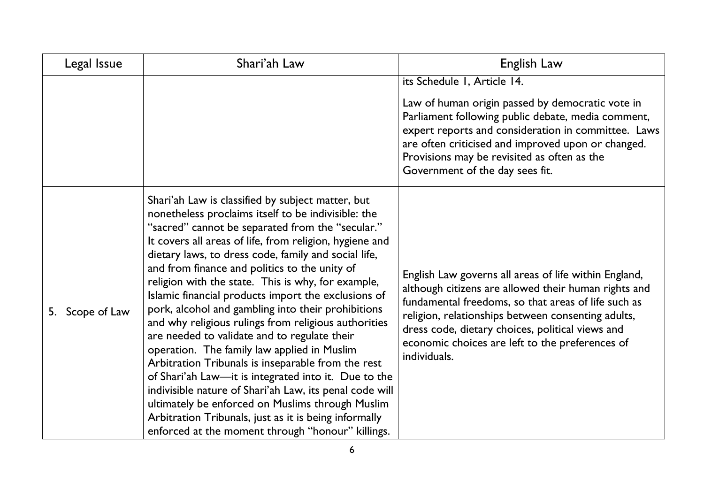| Legal Issue        | Shari'ah Law                                                                                                                                                                                                                                                                                                                                                                                                                                                                                                                                                                                                                                                                                                                                                                                                                                                                                                                                                                                          | English Law                                                                                                                                                                                                                                                                                                                                       |
|--------------------|-------------------------------------------------------------------------------------------------------------------------------------------------------------------------------------------------------------------------------------------------------------------------------------------------------------------------------------------------------------------------------------------------------------------------------------------------------------------------------------------------------------------------------------------------------------------------------------------------------------------------------------------------------------------------------------------------------------------------------------------------------------------------------------------------------------------------------------------------------------------------------------------------------------------------------------------------------------------------------------------------------|---------------------------------------------------------------------------------------------------------------------------------------------------------------------------------------------------------------------------------------------------------------------------------------------------------------------------------------------------|
|                    |                                                                                                                                                                                                                                                                                                                                                                                                                                                                                                                                                                                                                                                                                                                                                                                                                                                                                                                                                                                                       | its Schedule I, Article 14.<br>Law of human origin passed by democratic vote in<br>Parliament following public debate, media comment,<br>expert reports and consideration in committee. Laws<br>are often criticised and improved upon or changed.<br>Provisions may be revisited as often as the<br>Government of the day sees fit.              |
| Scope of Law<br>5. | Shari'ah Law is classified by subject matter, but<br>nonetheless proclaims itself to be indivisible: the<br>"sacred" cannot be separated from the "secular."<br>It covers all areas of life, from religion, hygiene and<br>dietary laws, to dress code, family and social life,<br>and from finance and politics to the unity of<br>religion with the state. This is why, for example,<br>Islamic financial products import the exclusions of<br>pork, alcohol and gambling into their prohibitions<br>and why religious rulings from religious authorities<br>are needed to validate and to regulate their<br>operation. The family law applied in Muslim<br>Arbitration Tribunals is inseparable from the rest<br>of Shari'ah Law—it is integrated into it. Due to the<br>indivisible nature of Shari'ah Law, its penal code will<br>ultimately be enforced on Muslims through Muslim<br>Arbitration Tribunals, just as it is being informally<br>enforced at the moment through "honour" killings. | English Law governs all areas of life within England,<br>although citizens are allowed their human rights and<br>fundamental freedoms, so that areas of life such as<br>religion, relationships between consenting adults,<br>dress code, dietary choices, political views and<br>economic choices are left to the preferences of<br>individuals. |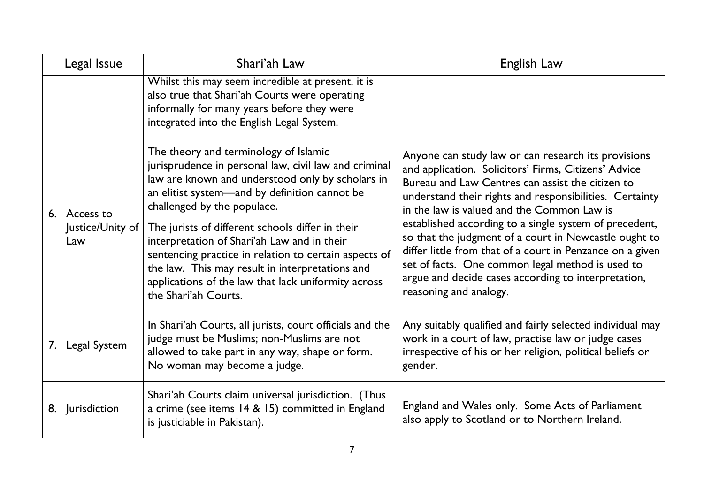| Legal Issue                             | Shari'ah Law                                                                                                                                                                                                                                                                                                                                                                                                                                                                                                                     | English Law                                                                                                                                                                                                                                                                                                                                                                                                                                                                                                                                                                                   |
|-----------------------------------------|----------------------------------------------------------------------------------------------------------------------------------------------------------------------------------------------------------------------------------------------------------------------------------------------------------------------------------------------------------------------------------------------------------------------------------------------------------------------------------------------------------------------------------|-----------------------------------------------------------------------------------------------------------------------------------------------------------------------------------------------------------------------------------------------------------------------------------------------------------------------------------------------------------------------------------------------------------------------------------------------------------------------------------------------------------------------------------------------------------------------------------------------|
|                                         | Whilst this may seem incredible at present, it is<br>also true that Shari'ah Courts were operating<br>informally for many years before they were<br>integrated into the English Legal System.                                                                                                                                                                                                                                                                                                                                    |                                                                                                                                                                                                                                                                                                                                                                                                                                                                                                                                                                                               |
| 6. Access to<br>Justice/Unity of<br>Law | The theory and terminology of Islamic<br>jurisprudence in personal law, civil law and criminal<br>law are known and understood only by scholars in<br>an elitist system-and by definition cannot be<br>challenged by the populace.<br>The jurists of different schools differ in their<br>interpretation of Shari'ah Law and in their<br>sentencing practice in relation to certain aspects of<br>the law. This may result in interpretations and<br>applications of the law that lack uniformity across<br>the Shari'ah Courts. | Anyone can study law or can research its provisions<br>and application. Solicitors' Firms, Citizens' Advice<br>Bureau and Law Centres can assist the citizen to<br>understand their rights and responsibilities. Certainty<br>in the law is valued and the Common Law is<br>established according to a single system of precedent,<br>so that the judgment of a court in Newcastle ought to<br>differ little from that of a court in Penzance on a given<br>set of facts. One common legal method is used to<br>argue and decide cases according to interpretation,<br>reasoning and analogy. |
| 7. Legal System                         | In Shari'ah Courts, all jurists, court officials and the<br>judge must be Muslims; non-Muslims are not<br>allowed to take part in any way, shape or form.<br>No woman may become a judge.                                                                                                                                                                                                                                                                                                                                        | Any suitably qualified and fairly selected individual may<br>work in a court of law, practise law or judge cases<br>irrespective of his or her religion, political beliefs or<br>gender.                                                                                                                                                                                                                                                                                                                                                                                                      |
| 8. Jurisdiction                         | Shari'ah Courts claim universal jurisdiction. (Thus<br>a crime (see items 14 & 15) committed in England<br>is justiciable in Pakistan).                                                                                                                                                                                                                                                                                                                                                                                          | England and Wales only. Some Acts of Parliament<br>also apply to Scotland or to Northern Ireland.                                                                                                                                                                                                                                                                                                                                                                                                                                                                                             |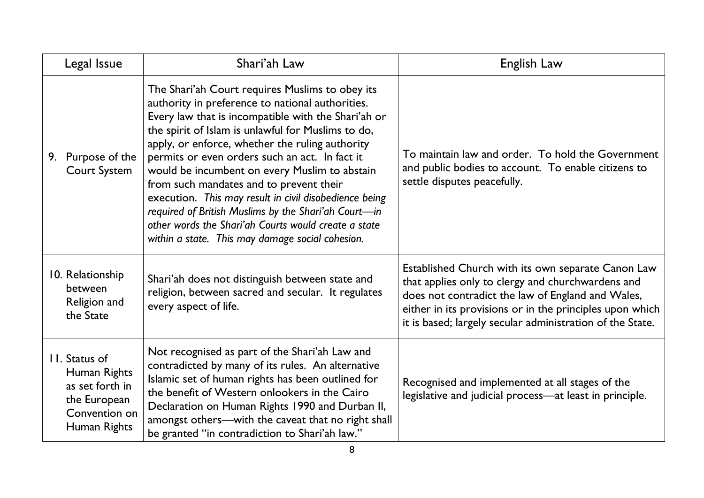| Legal Issue                                                                                       | Shari'ah Law                                                                                                                                                                                                                                                                                                                                                                                                                                                                                                                                                                                                                                    | English Law                                                                                                                                                                                                                                                                           |
|---------------------------------------------------------------------------------------------------|-------------------------------------------------------------------------------------------------------------------------------------------------------------------------------------------------------------------------------------------------------------------------------------------------------------------------------------------------------------------------------------------------------------------------------------------------------------------------------------------------------------------------------------------------------------------------------------------------------------------------------------------------|---------------------------------------------------------------------------------------------------------------------------------------------------------------------------------------------------------------------------------------------------------------------------------------|
| Purpose of the<br>9.<br><b>Court System</b>                                                       | The Shari'ah Court requires Muslims to obey its<br>authority in preference to national authorities.<br>Every law that is incompatible with the Shari'ah or<br>the spirit of Islam is unlawful for Muslims to do,<br>apply, or enforce, whether the ruling authority<br>permits or even orders such an act. In fact it<br>would be incumbent on every Muslim to abstain<br>from such mandates and to prevent their<br>execution. This may result in civil disobedience being<br>required of British Muslims by the Shari'ah Court-in<br>other words the Shari'ah Courts would create a state<br>within a state. This may damage social cohesion. | To maintain law and order. To hold the Government<br>and public bodies to account. To enable citizens to<br>settle disputes peacefully.                                                                                                                                               |
| 10. Relationship<br><b>between</b><br>Religion and<br>the State                                   | Shari'ah does not distinguish between state and<br>religion, between sacred and secular. It regulates<br>every aspect of life.                                                                                                                                                                                                                                                                                                                                                                                                                                                                                                                  | Established Church with its own separate Canon Law<br>that applies only to clergy and churchwardens and<br>does not contradict the law of England and Wales,<br>either in its provisions or in the principles upon which<br>it is based; largely secular administration of the State. |
| II. Status of<br>Human Rights<br>as set forth in<br>the European<br>Convention on<br>Human Rights | Not recognised as part of the Shari'ah Law and<br>contradicted by many of its rules. An alternative<br>Islamic set of human rights has been outlined for<br>the benefit of Western onlookers in the Cairo<br>Declaration on Human Rights 1990 and Durban II,<br>amongst others-with the caveat that no right shall<br>be granted "in contradiction to Shari'ah law."                                                                                                                                                                                                                                                                            | Recognised and implemented at all stages of the<br>legislative and judicial process-at least in principle.                                                                                                                                                                            |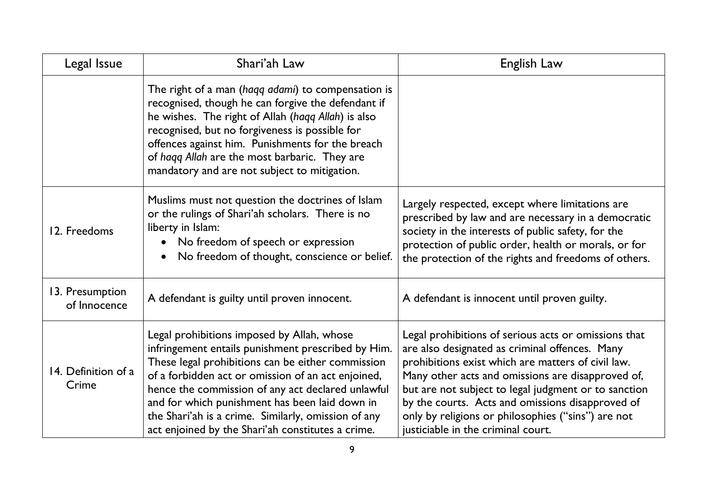| Legal Issue                     | Shari'ah Law                                                                                                                                                                                                                                                                                                                                                                                                                   | English Law                                                                                                                                                                                                                                                                                                                                                                                                               |
|---------------------------------|--------------------------------------------------------------------------------------------------------------------------------------------------------------------------------------------------------------------------------------------------------------------------------------------------------------------------------------------------------------------------------------------------------------------------------|---------------------------------------------------------------------------------------------------------------------------------------------------------------------------------------------------------------------------------------------------------------------------------------------------------------------------------------------------------------------------------------------------------------------------|
|                                 | The right of a man (haqq adami) to compensation is<br>recognised, though he can forgive the defendant if<br>he wishes. The right of Allah (haqq Allah) is also<br>recognised, but no forgiveness is possible for<br>offences against him. Punishments for the breach<br>of haqq Allah are the most barbaric. They are<br>mandatory and are not subject to mitigation.                                                          |                                                                                                                                                                                                                                                                                                                                                                                                                           |
| 12. Freedoms                    | Muslims must not question the doctrines of Islam<br>or the rulings of Shari'ah scholars. There is no<br>liberty in Islam:<br>No freedom of speech or expression<br>$\bullet$<br>No freedom of thought, conscience or belief.<br>$\bullet$                                                                                                                                                                                      | Largely respected, except where limitations are<br>prescribed by law and are necessary in a democratic<br>society in the interests of public safety, for the<br>protection of public order, health or morals, or for<br>the protection of the rights and freedoms of others.                                                                                                                                              |
| 13. Presumption<br>of Innocence | A defendant is guilty until proven innocent.                                                                                                                                                                                                                                                                                                                                                                                   | A defendant is innocent until proven guilty.                                                                                                                                                                                                                                                                                                                                                                              |
| 14. Definition of a<br>Crime    | Legal prohibitions imposed by Allah, whose<br>infringement entails punishment prescribed by Him.<br>These legal prohibitions can be either commission<br>of a forbidden act or omission of an act enjoined,<br>hence the commission of any act declared unlawful<br>and for which punishment has been laid down in<br>the Shari'ah is a crime. Similarly, omission of any<br>act enjoined by the Shari'ah constitutes a crime. | Legal prohibitions of serious acts or omissions that<br>are also designated as criminal offences. Many<br>prohibitions exist which are matters of civil law.<br>Many other acts and omissions are disapproved of,<br>but are not subject to legal judgment or to sanction<br>by the courts. Acts and omissions disapproved of<br>only by religions or philosophies ("sins") are not<br>justiciable in the criminal court. |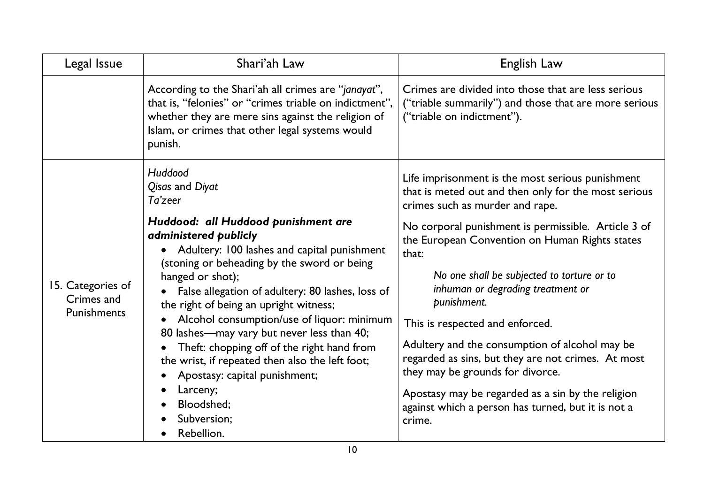| Legal Issue                                    | Shari'ah Law                                                                                                                                                                                                                                                                                                                                                                                                                                                                                                                                                                                               | English Law                                                                                                                                                                                                                                                                                                                                                                                                                                                                                                                                                                                                                                                         |
|------------------------------------------------|------------------------------------------------------------------------------------------------------------------------------------------------------------------------------------------------------------------------------------------------------------------------------------------------------------------------------------------------------------------------------------------------------------------------------------------------------------------------------------------------------------------------------------------------------------------------------------------------------------|---------------------------------------------------------------------------------------------------------------------------------------------------------------------------------------------------------------------------------------------------------------------------------------------------------------------------------------------------------------------------------------------------------------------------------------------------------------------------------------------------------------------------------------------------------------------------------------------------------------------------------------------------------------------|
|                                                | According to the Shari'ah all crimes are "janayat",<br>that is, "felonies" or "crimes triable on indictment",<br>whether they are mere sins against the religion of<br>Islam, or crimes that other legal systems would<br>punish.                                                                                                                                                                                                                                                                                                                                                                          | Crimes are divided into those that are less serious<br>("triable summarily") and those that are more serious<br>("triable on indictment").                                                                                                                                                                                                                                                                                                                                                                                                                                                                                                                          |
| 15. Categories of<br>Crimes and<br>Punishments | Huddood<br>Qisas and Diyat<br>Ta'zeer<br>Huddood: all Huddood punishment are<br>administered publicly<br>Adultery: 100 lashes and capital punishment<br>(stoning or beheading by the sword or being<br>hanged or shot);<br>False allegation of adultery: 80 lashes, loss of<br>the right of being an upright witness;<br>Alcohol consumption/use of liquor: minimum<br>80 lashes—may vary but never less than 40;<br>Theft: chopping off of the right hand from<br>the wrist, if repeated then also the left foot;<br>Apostasy: capital punishment;<br>Larceny;<br>Bloodshed;<br>Subversion;<br>Rebellion. | Life imprisonment is the most serious punishment<br>that is meted out and then only for the most serious<br>crimes such as murder and rape.<br>No corporal punishment is permissible. Article 3 of<br>the European Convention on Human Rights states<br>that:<br>No one shall be subjected to torture or to<br>inhuman or degrading treatment or<br>punishment.<br>This is respected and enforced.<br>Adultery and the consumption of alcohol may be<br>regarded as sins, but they are not crimes. At most<br>they may be grounds for divorce.<br>Apostasy may be regarded as a sin by the religion<br>against which a person has turned, but it is not a<br>crime. |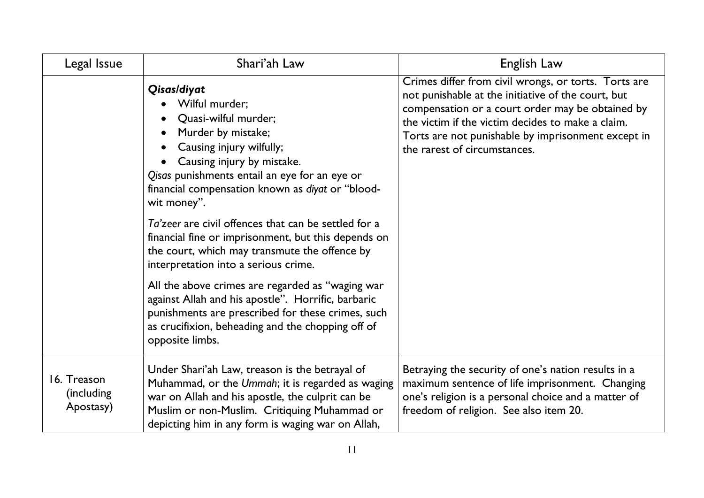| Legal Issue                             | Shari'ah Law                                                                                                                                                                                                                                                                                                                                                                                                                                                                                                                                                                                                                                                                                             | English Law                                                                                                                                                                                                                                                                                               |
|-----------------------------------------|----------------------------------------------------------------------------------------------------------------------------------------------------------------------------------------------------------------------------------------------------------------------------------------------------------------------------------------------------------------------------------------------------------------------------------------------------------------------------------------------------------------------------------------------------------------------------------------------------------------------------------------------------------------------------------------------------------|-----------------------------------------------------------------------------------------------------------------------------------------------------------------------------------------------------------------------------------------------------------------------------------------------------------|
|                                         | Qisas/diyat<br>Wilful murder;<br>Quasi-wilful murder;<br>Murder by mistake;<br>Causing injury wilfully;<br>Causing injury by mistake.<br>Qisas punishments entail an eye for an eye or<br>financial compensation known as diyat or "blood-<br>wit money".<br>Ta'zeer are civil offences that can be settled for a<br>financial fine or imprisonment, but this depends on<br>the court, which may transmute the offence by<br>interpretation into a serious crime.<br>All the above crimes are regarded as "waging war<br>against Allah and his apostle". Horrific, barbaric<br>punishments are prescribed for these crimes, such<br>as crucifixion, beheading and the chopping off of<br>opposite limbs. | Crimes differ from civil wrongs, or torts. Torts are<br>not punishable at the initiative of the court, but<br>compensation or a court order may be obtained by<br>the victim if the victim decides to make a claim.<br>Torts are not punishable by imprisonment except in<br>the rarest of circumstances. |
| 16. Treason<br>(including)<br>Apostasy) | Under Shari'ah Law, treason is the betrayal of<br>Muhammad, or the Ummah; it is regarded as waging<br>war on Allah and his apostle, the culprit can be<br>Muslim or non-Muslim. Critiquing Muhammad or<br>depicting him in any form is waging war on Allah,                                                                                                                                                                                                                                                                                                                                                                                                                                              | Betraying the security of one's nation results in a<br>maximum sentence of life imprisonment. Changing<br>one's religion is a personal choice and a matter of<br>freedom of religion. See also item 20.                                                                                                   |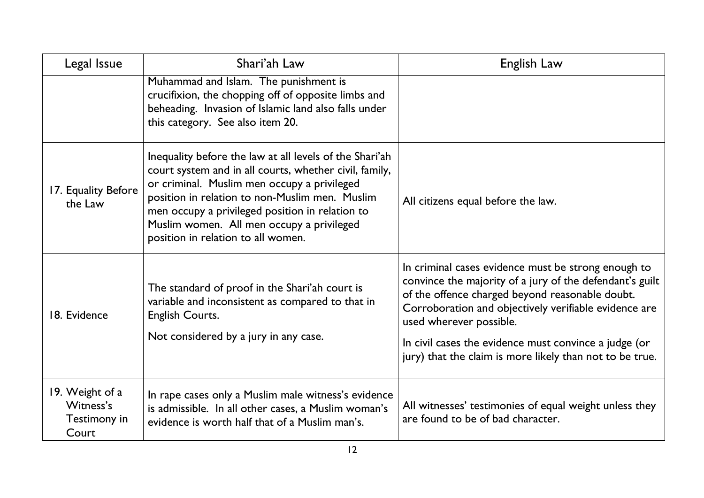| Legal Issue                                           | Shari'ah Law                                                                                                                                                                                                                                                                                                                                             | English Law                                                                                                                                                                                                                                                                                                                                                                 |
|-------------------------------------------------------|----------------------------------------------------------------------------------------------------------------------------------------------------------------------------------------------------------------------------------------------------------------------------------------------------------------------------------------------------------|-----------------------------------------------------------------------------------------------------------------------------------------------------------------------------------------------------------------------------------------------------------------------------------------------------------------------------------------------------------------------------|
|                                                       | Muhammad and Islam. The punishment is<br>crucifixion, the chopping off of opposite limbs and<br>beheading. Invasion of Islamic land also falls under<br>this category. See also item 20.                                                                                                                                                                 |                                                                                                                                                                                                                                                                                                                                                                             |
| 17. Equality Before<br>the Law                        | Inequality before the law at all levels of the Shari'ah<br>court system and in all courts, whether civil, family,<br>or criminal. Muslim men occupy a privileged<br>position in relation to non-Muslim men. Muslim<br>men occupy a privileged position in relation to<br>Muslim women. All men occupy a privileged<br>position in relation to all women. | All citizens equal before the law.                                                                                                                                                                                                                                                                                                                                          |
| 18. Evidence                                          | The standard of proof in the Shari'ah court is<br>variable and inconsistent as compared to that in<br>English Courts.<br>Not considered by a jury in any case.                                                                                                                                                                                           | In criminal cases evidence must be strong enough to<br>convince the majority of a jury of the defendant's guilt<br>of the offence charged beyond reasonable doubt.<br>Corroboration and objectively verifiable evidence are<br>used wherever possible.<br>In civil cases the evidence must convince a judge (or<br>jury) that the claim is more likely than not to be true. |
| 19. Weight of a<br>Witness's<br>Testimony in<br>Court | In rape cases only a Muslim male witness's evidence<br>is admissible. In all other cases, a Muslim woman's<br>evidence is worth half that of a Muslim man's.                                                                                                                                                                                             | All witnesses' testimonies of equal weight unless they<br>are found to be of bad character.                                                                                                                                                                                                                                                                                 |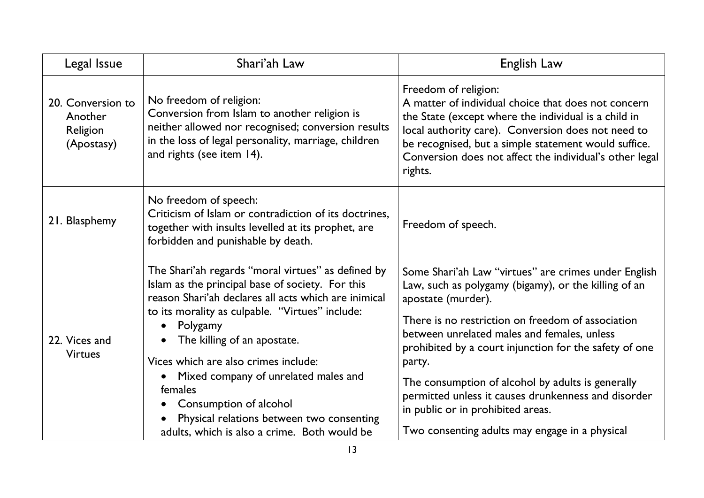| Legal Issue                                            | Shari'ah Law                                                                                                                                                                                                                                                                                                                                                                                                                                                                                | English Law                                                                                                                                                                                                                                                                                                                                                                                                                                                                                                   |
|--------------------------------------------------------|---------------------------------------------------------------------------------------------------------------------------------------------------------------------------------------------------------------------------------------------------------------------------------------------------------------------------------------------------------------------------------------------------------------------------------------------------------------------------------------------|---------------------------------------------------------------------------------------------------------------------------------------------------------------------------------------------------------------------------------------------------------------------------------------------------------------------------------------------------------------------------------------------------------------------------------------------------------------------------------------------------------------|
| 20. Conversion to<br>Another<br>Religion<br>(Apostasy) | No freedom of religion:<br>Conversion from Islam to another religion is<br>neither allowed nor recognised; conversion results<br>in the loss of legal personality, marriage, children<br>and rights (see item 14).                                                                                                                                                                                                                                                                          | Freedom of religion:<br>A matter of individual choice that does not concern<br>the State (except where the individual is a child in<br>local authority care). Conversion does not need to<br>be recognised, but a simple statement would suffice.<br>Conversion does not affect the individual's other legal<br>rights.                                                                                                                                                                                       |
| 21. Blasphemy                                          | No freedom of speech:<br>Criticism of Islam or contradiction of its doctrines,<br>together with insults levelled at its prophet, are<br>forbidden and punishable by death.                                                                                                                                                                                                                                                                                                                  | Freedom of speech.                                                                                                                                                                                                                                                                                                                                                                                                                                                                                            |
| 22. Vices and<br><b>Virtues</b>                        | The Shari'ah regards "moral virtues" as defined by<br>Islam as the principal base of society. For this<br>reason Shari'ah declares all acts which are inimical<br>to its morality as culpable. "Virtues" include:<br>Polygamy<br>$\bullet$<br>The killing of an apostate.<br>Vices which are also crimes include:<br>Mixed company of unrelated males and<br>females<br>Consumption of alcohol<br>Physical relations between two consenting<br>adults, which is also a crime. Both would be | Some Shari'ah Law "virtues" are crimes under English<br>Law, such as polygamy (bigamy), or the killing of an<br>apostate (murder).<br>There is no restriction on freedom of association<br>between unrelated males and females, unless<br>prohibited by a court injunction for the safety of one<br>party.<br>The consumption of alcohol by adults is generally<br>permitted unless it causes drunkenness and disorder<br>in public or in prohibited areas.<br>Two consenting adults may engage in a physical |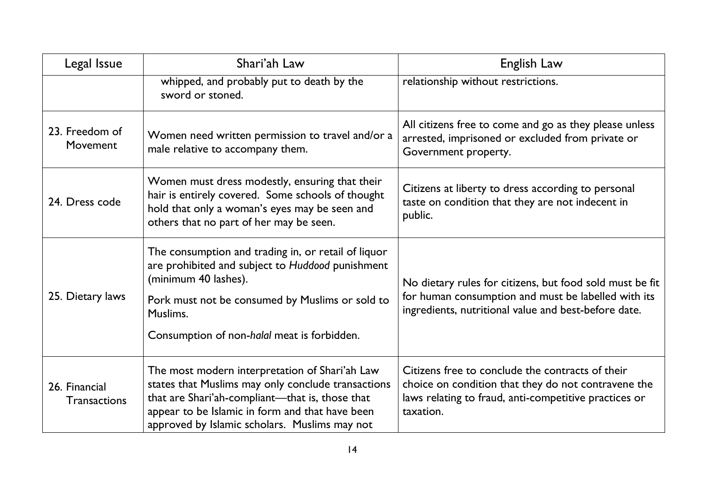| Legal Issue                          | Shari'ah Law                                                                                                                                                                                                                                                | English Law                                                                                                                                                                   |
|--------------------------------------|-------------------------------------------------------------------------------------------------------------------------------------------------------------------------------------------------------------------------------------------------------------|-------------------------------------------------------------------------------------------------------------------------------------------------------------------------------|
|                                      | whipped, and probably put to death by the<br>sword or stoned.                                                                                                                                                                                               | relationship without restrictions.                                                                                                                                            |
| 23. Freedom of<br>Movement           | Women need written permission to travel and/or a<br>male relative to accompany them.                                                                                                                                                                        | All citizens free to come and go as they please unless<br>arrested, imprisoned or excluded from private or<br>Government property.                                            |
| 24. Dress code                       | Women must dress modestly, ensuring that their<br>hair is entirely covered. Some schools of thought<br>hold that only a woman's eyes may be seen and<br>others that no part of her may be seen.                                                             | Citizens at liberty to dress according to personal<br>taste on condition that they are not indecent in<br>public.                                                             |
| 25. Dietary laws                     | The consumption and trading in, or retail of liquor<br>are prohibited and subject to Huddood punishment<br>(minimum 40 lashes).<br>Pork must not be consumed by Muslims or sold to<br>Muslims.<br>Consumption of non-halal meat is forbidden.               | No dietary rules for citizens, but food sold must be fit<br>for human consumption and must be labelled with its<br>ingredients, nutritional value and best-before date.       |
| 26. Financial<br><b>Transactions</b> | The most modern interpretation of Shari'ah Law<br>states that Muslims may only conclude transactions<br>that are Shari'ah-compliant-that is, those that<br>appear to be Islamic in form and that have been<br>approved by Islamic scholars. Muslims may not | Citizens free to conclude the contracts of their<br>choice on condition that they do not contravene the<br>laws relating to fraud, anti-competitive practices or<br>taxation. |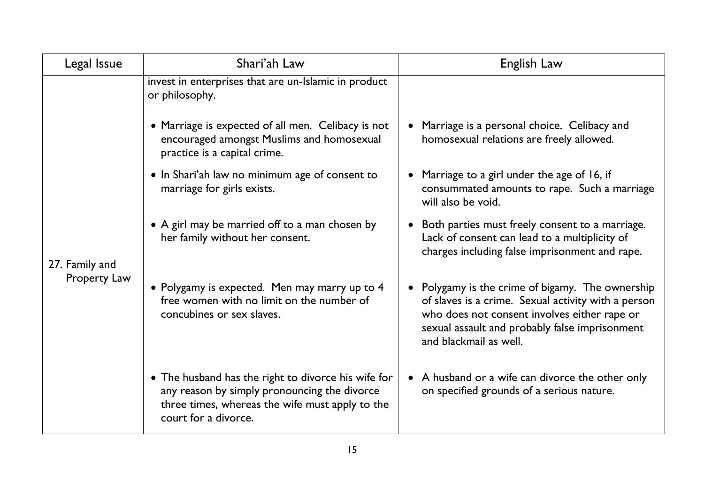| Legal Issue                    | Shari'ah Law                                                                                                                                                                   | English Law                                                                                                                                                                                                                       |
|--------------------------------|--------------------------------------------------------------------------------------------------------------------------------------------------------------------------------|-----------------------------------------------------------------------------------------------------------------------------------------------------------------------------------------------------------------------------------|
|                                | invest in enterprises that are un-Islamic in product<br>or philosophy.                                                                                                         |                                                                                                                                                                                                                                   |
| 27. Family and<br>Property Law | • Marriage is expected of all men. Celibacy is not<br>encouraged amongst Muslims and homosexual<br>practice is a capital crime.                                                | Marriage is a personal choice. Celibacy and<br>homosexual relations are freely allowed.                                                                                                                                           |
|                                | • In Shari'ah law no minimum age of consent to<br>marriage for girls exists.                                                                                                   | Marriage to a girl under the age of 16, if<br>consummated amounts to rape. Such a marriage<br>will also be void.                                                                                                                  |
|                                | • A girl may be married off to a man chosen by<br>her family without her consent.                                                                                              | Both parties must freely consent to a marriage.<br>Lack of consent can lead to a multiplicity of<br>charges including false imprisonment and rape.                                                                                |
|                                | • Polygamy is expected. Men may marry up to 4<br>free women with no limit on the number of<br>concubines or sex slaves.                                                        | Polygamy is the crime of bigamy. The ownership<br>of slaves is a crime. Sexual activity with a person<br>who does not consent involves either rape or<br>sexual assault and probably false imprisonment<br>and blackmail as well. |
|                                | • The husband has the right to divorce his wife for<br>any reason by simply pronouncing the divorce<br>three times, whereas the wife must apply to the<br>court for a divorce. | • A husband or a wife can divorce the other only<br>on specified grounds of a serious nature.                                                                                                                                     |